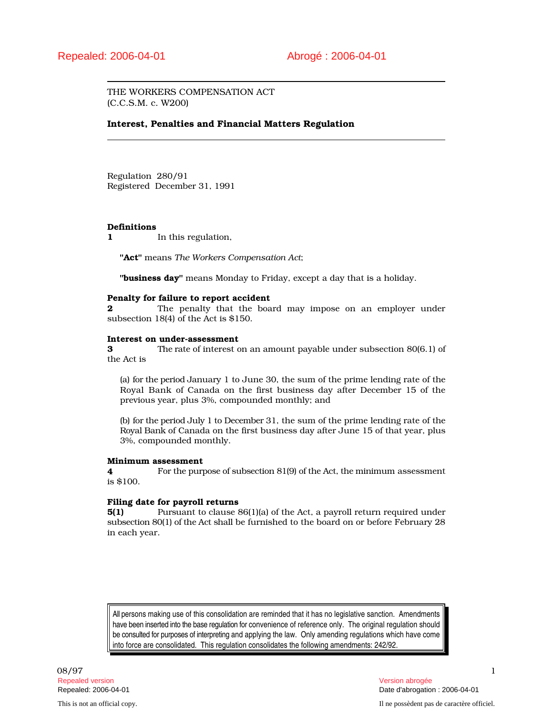THE WORKERS COMPENSATION ACT (C.C.S.M. c. W200)

## Interest, Penalties and Financial Matters Regulation

Regulation 280/91 Registered December 31, 1991

## Definitions

1 In this regulation,

"Act" means *The Workers Compensation Act*;

"business day" means Monday to Friday, except a day that is a holiday.

## Penalty for failure to report accident

**2** The penalty that the board may impose on an employer under subsection 18(4) of the Act is \$150.

#### Interest on under-assessment

3 The rate of interest on an amount payable under subsection 80(6.1) of the Act is

(a) for the period January 1 to June 30, the sum of the prime lending rate of the Royal Bank of Canada on the first business day after December 15 of the previous year, plus 3%, compounded monthly; and

(b) for the period July 1 to December 31, the sum of the prime lending rate of the Royal Bank of Canada on the first business day after June 15 of that year, plus 3%, compounded monthly.

#### Minimum assessment

4 For the purpose of subsection 81(9) of the Act, the minimum assessment is \$100.

## Filing date for payroll returns

5(1) Pursuant to clause 86(1)(a) of the Act, a payroll return required under subsection 80(1) of the Act shall be furnished to the board on or before February 28 in each year.

All persons making use of this consolidation are reminded that it has no legislative sanction. Amendments have been inserted into the base regulation for convenience of reference only. The original regulation should be consulted for purposes of interpreting and applying the law. Only amending regulations which have come into force are consolidated. This regulation consolidates the following amendments: 242/92.

08/97 and the contract of the contract of the contract of the contract of the contract of the contract of the contract of the contract of the contract of the contract of the contract of the contract of the contract of the Repealed version Version abrogée

Repealed: 2006-04-01 Date d'abrogation : 2006-04-01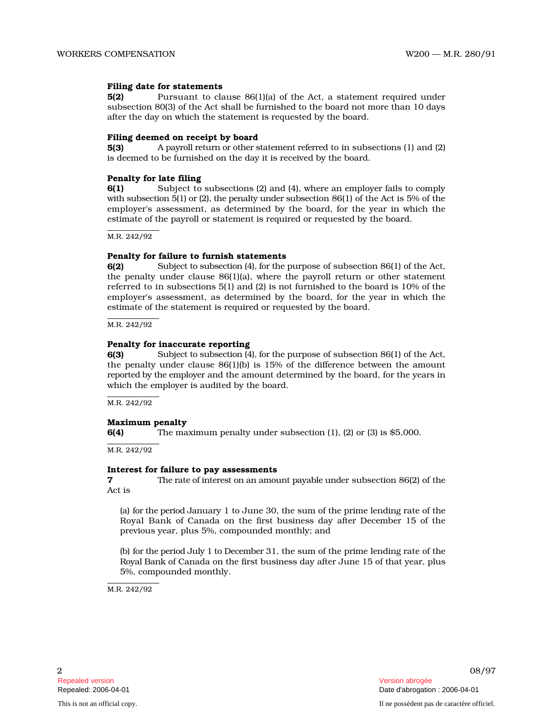### Filing date for statements

5(2) Pursuant to clause 86(1)(a) of the Act, a statement required under subsection 80 ( 3) of t he A ct s h all be furnished to the board not more than 10 days after the day on which the statement is requested by the board.

#### Filing deemed on receipt by board

 $5(3)$ payroll return or other statement referred to in subsections (1) and (2) is deemed to be furnished on the day it is received by the board.

### Penalty for late filing

6(1) Subject to subsections (2) and (4), where an employer fails to comply with subsection 5(1) or (2), the penalty under subsection 86(1) of the Act is 5% of the employer's assessment, as determined by the board, for the year in which the estimate of the payroll or statement is required or requested by the board.

M.R. 242/92

#### Penalty for failure to furnish statements

6(2) Subject to subsection (4), for the purpose of subsection 86(1) of the Act, the penalty under clause  $86(1)(a)$ , where the payroll return or other statement referred to in subsections  $5(1)$  and (2) is not furnished to the board is  $10\%$  of the employer's assessment, as determined by the board, for the year in which the estimate of the statement is required or requested by the board.

M.R. 242/92

#### Penalty for inaccurate reporting

6(3) Subject to subsection (4), for the purpose of subsection 86(1) of the Act, the penalty under clause  $86(1)(b)$  is  $15%$  of the difference between the amount reported by the employer and the amount determined by the board, for the years in which the employer is audited by the board.

M.R. 242/92

## Maximum penalty

6(4) The maximum penalty under subsection (1), (2) or (3) is \$5,000.

M.R. 242/92

#### Interest for failure to pay assessments

**7** The rate of interest on an amount payable under subsection 86(2) of the Act is

(a) for the p e ri od J anuary 1 to June 30, the sum of the prime lending rate of the Royal Bank of Canada on the first business day after December 15 of the previous year, plus 5%, compounded monthly; and

(b) for the period July 1 to December 31, the sum of the prime lending rate of the Royal Bank of Canada on the first business day after June 15 of that year, plus 5%, compounded monthly.

M.R. 242/92